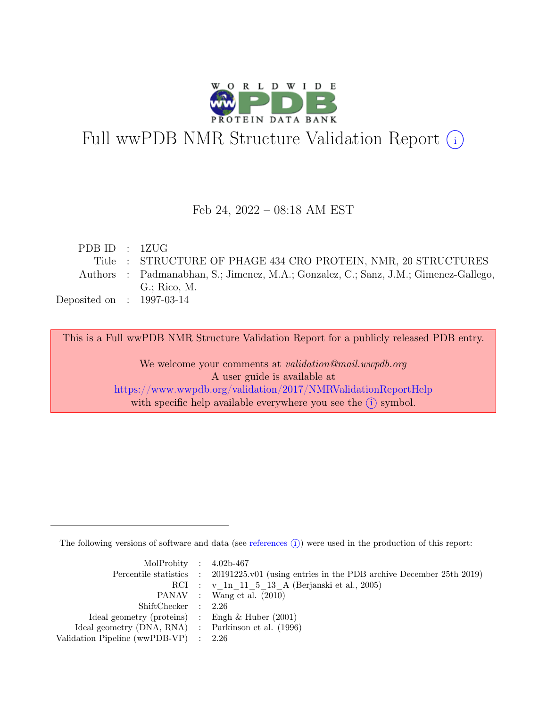

# Full wwPDB NMR Structure Validation Report (i)

### Feb 24, 2022 – 08:18 AM EST

| PDBID : 1ZUG                |                                                                                      |
|-----------------------------|--------------------------------------------------------------------------------------|
|                             | Title : STRUCTURE OF PHAGE 434 CRO PROTEIN, NMR, 20 STRUCTURES                       |
|                             | Authors : Padmanabhan, S.; Jimenez, M.A.; Gonzalez, C.; Sanz, J.M.; Gimenez-Gallego, |
|                             | $G:$ Rico, M.                                                                        |
| Deposited on : $1997-03-14$ |                                                                                      |

This is a Full wwPDB NMR Structure Validation Report for a publicly released PDB entry.

We welcome your comments at *validation@mail.wwpdb.org* A user guide is available at <https://www.wwpdb.org/validation/2017/NMRValidationReportHelp> with specific help available everywhere you see the  $(i)$  symbol.

The following versions of software and data (see [references](https://www.wwpdb.org/validation/2017/NMRValidationReportHelp#references)  $\hat{I}$ ) were used in the production of this report:

| MolProbity : $4.02b-467$                            |                                                                                            |
|-----------------------------------------------------|--------------------------------------------------------------------------------------------|
|                                                     | Percentile statistics : 20191225.v01 (using entries in the PDB archive December 25th 2019) |
|                                                     | RCI : v 1n 11 5 13 A (Berjanski et al., 2005)                                              |
|                                                     | PANAV : Wang et al. (2010)                                                                 |
| ShiftChecker : 2.26                                 |                                                                                            |
| Ideal geometry (proteins) : Engh $\&$ Huber (2001)  |                                                                                            |
| Ideal geometry (DNA, RNA) : Parkinson et al. (1996) |                                                                                            |
| Validation Pipeline (wwPDB-VP) $\therefore$ 2.26    |                                                                                            |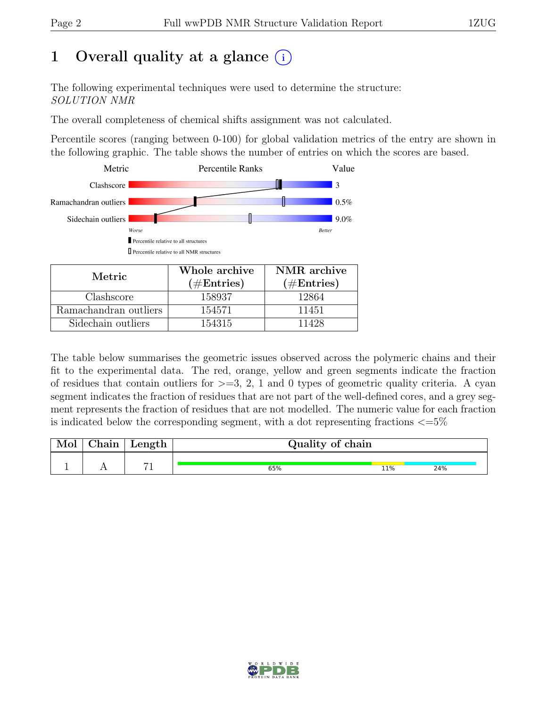# 1 Overall quality at a glance  $(i)$

The following experimental techniques were used to determine the structure: SOLUTION NMR

The overall completeness of chemical shifts assignment was not calculated.

Percentile scores (ranging between 0-100) for global validation metrics of the entry are shown in the following graphic. The table shows the number of entries on which the scores are based.



| Metric.               | Whole archive | NMR archive   |  |  |
|-----------------------|---------------|---------------|--|--|
|                       | $(\#Entries)$ | $(\#Entries)$ |  |  |
| Clashscore            | 158937        | 12864         |  |  |
| Ramachandran outliers | 154571        | 11451         |  |  |
| Sidechain outliers    | 154315        | 11428         |  |  |

The table below summarises the geometric issues observed across the polymeric chains and their fit to the experimental data. The red, orange, yellow and green segments indicate the fraction of residues that contain outliers for  $>=$  3, 2, 1 and 0 types of geometric quality criteria. A cyan segment indicates the fraction of residues that are not part of the well-defined cores, and a grey segment represents the fraction of residues that are not modelled. The numeric value for each fraction is indicated below the corresponding segment, with a dot representing fractions  $\langle=5\%$ 

| Mol | ${\rm Chain}$ | Length $\vert$ | Quality of chain |     |     |  |  |  |
|-----|---------------|----------------|------------------|-----|-----|--|--|--|
|     |               | $\rightarrow$  |                  |     |     |  |  |  |
|     |               |                | 65%              | 11% | 24% |  |  |  |

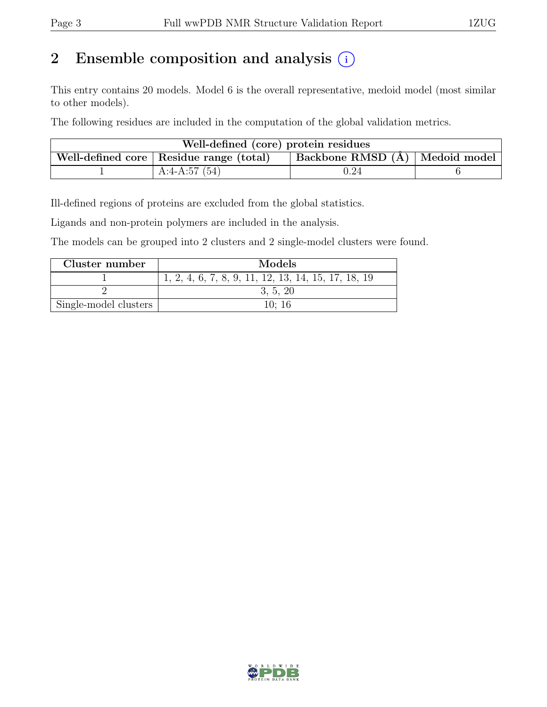# 2 Ensemble composition and analysis  $(i)$

This entry contains 20 models. Model 6 is the overall representative, medoid model (most similar to other models).

The following residues are included in the computation of the global validation metrics.

| Well-defined (core) protein residues                                        |                 |            |  |  |  |  |
|-----------------------------------------------------------------------------|-----------------|------------|--|--|--|--|
| Backbone RMSD (Å) Medoid model<br>Well-defined core   Residue range (total) |                 |            |  |  |  |  |
|                                                                             | A:4-A:57 $(54)$ | $\rm 0.24$ |  |  |  |  |

Ill-defined regions of proteins are excluded from the global statistics.

Ligands and non-protein polymers are included in the analysis.

The models can be grouped into 2 clusters and 2 single-model clusters were found.

| Cluster number        | Models                                              |
|-----------------------|-----------------------------------------------------|
|                       | 1, 2, 4, 6, 7, 8, 9, 11, 12, 13, 14, 15, 17, 18, 19 |
|                       | 3, 5, 20                                            |
| Single-model clusters | 10:16                                               |

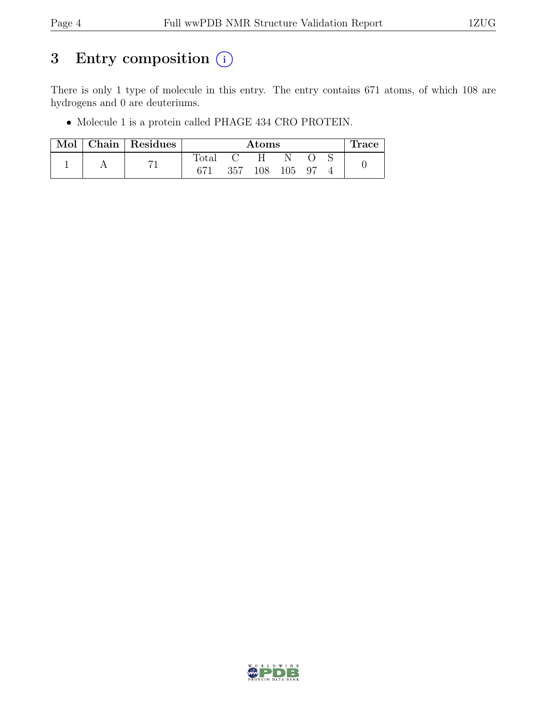# 3 Entry composition  $(i)$

There is only 1 type of molecule in this entry. The entry contains 671 atoms, of which 108 are hydrogens and 0 are deuteriums.

• Molecule 1 is a protein called PHAGE 434 CRO PROTEIN.

| Mol | Chain Residues | Atoms          |              |            |  | race. |  |
|-----|----------------|----------------|--------------|------------|--|-------|--|
|     |                | $\text{Total}$ | $\mathbf{C}$ | H.         |  |       |  |
|     |                |                | 357          | 108 105 97 |  |       |  |

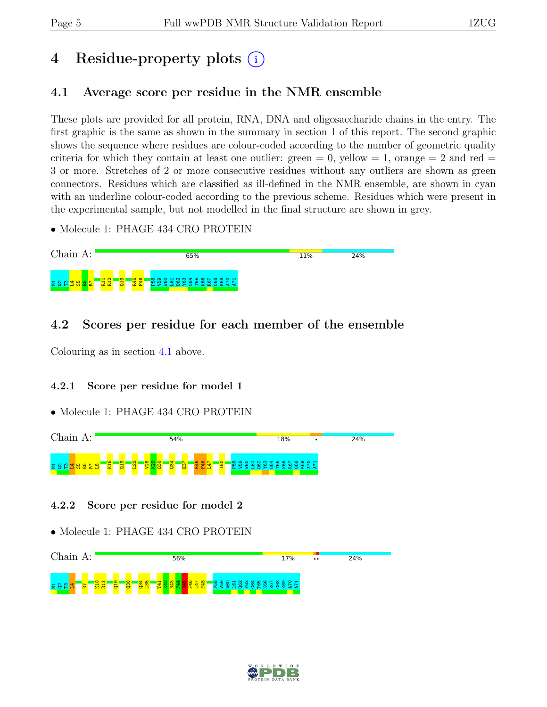# 4 Residue-property plots (i)

# <span id="page-4-0"></span>4.1 Average score per residue in the NMR ensemble

These plots are provided for all protein, RNA, DNA and oligosaccharide chains in the entry. The first graphic is the same as shown in the summary in section 1 of this report. The second graphic shows the sequence where residues are colour-coded according to the number of geometric quality criteria for which they contain at least one outlier:  $green = 0$ ,  $yellow = 1$ ,  $orange = 2$  and  $red =$ 3 or more. Stretches of 2 or more consecutive residues without any outliers are shown as green connectors. Residues which are classified as ill-defined in the NMR ensemble, are shown in cyan with an underline colour-coded according to the previous scheme. Residues which were present in the experimental sample, but not modelled in the final structure are shown in grey.

• Molecule 1: PHAGE 434 CRO PROTEIN



# 4.2 Scores per residue for each member of the ensemble

Colouring as in section [4.1](#page-4-0) above.

### 4.2.1 Score per residue for model 1

#### • Molecule 1: PHAGE 434 CRO PROTEIN



#### 4.2.2 Score per residue for model 2



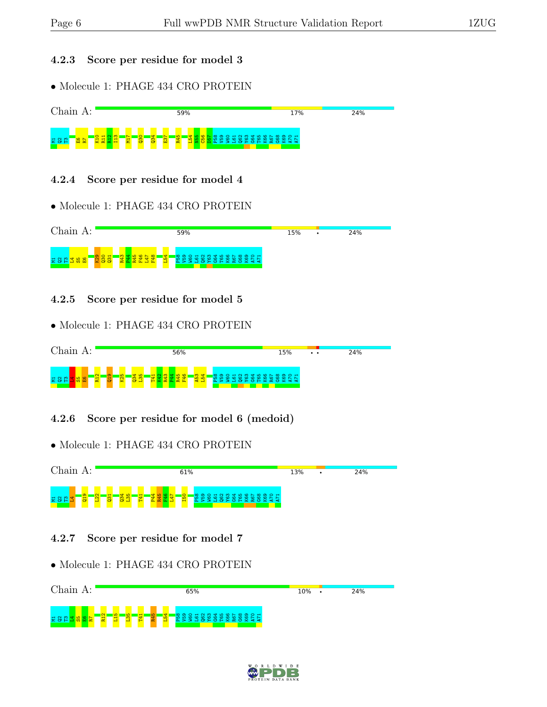#### 4.2.3 Score per residue for model 3

• Molecule 1: PHAGE 434 CRO PROTEIN



#### 4.2.4 Score per residue for model 4

• Molecule 1: PHAGE 434 CRO PROTEIN



4.2.5 Score per residue for model 5

• Molecule 1: PHAGE 434 CRO PROTEIN



4.2.6 Score per residue for model 6 (medoid)

• Molecule 1: PHAGE 434 CRO PROTEIN



#### 4.2.7 Score per residue for model 7



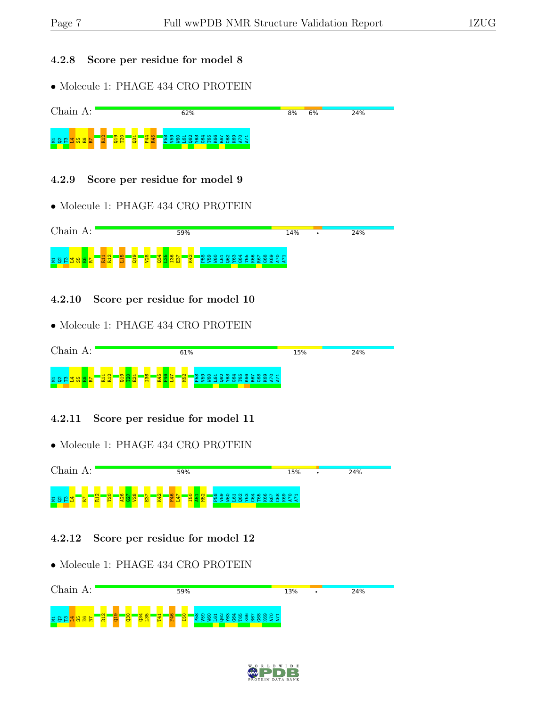#### 4.2.8 Score per residue for model 8

• Molecule 1: PHAGE 434 CRO PROTEIN



### 4.2.9 Score per residue for model 9

• Molecule 1: PHAGE 434 CRO PROTEIN



4.2.10 Score per residue for model 10

• Molecule 1: PHAGE 434 CRO PROTEIN



### 4.2.11 Score per residue for model 11





### 4.2.12 Score per residue for model 12



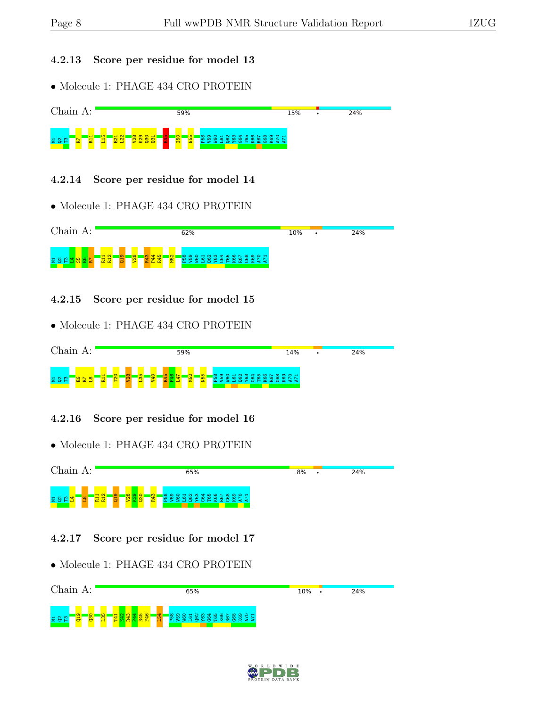#### 4.2.13 Score per residue for model 13

• Molecule 1: PHAGE 434 CRO PROTEIN



#### 4.2.14 Score per residue for model 14

• Molecule 1: PHAGE 434 CRO PROTEIN



4.2.15 Score per residue for model 15

• Molecule 1: PHAGE 434 CRO PROTEIN



### 4.2.16 Score per residue for model 16





#### 4.2.17 Score per residue for model 17



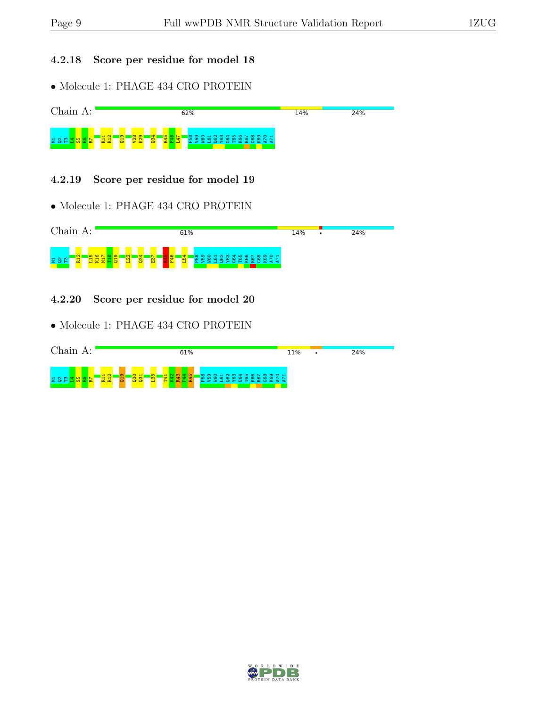#### 4.2.18 Score per residue for model 18

• Molecule 1: PHAGE 434 CRO PROTEIN



4.2.19 Score per residue for model 19

• Molecule 1: PHAGE 434 CRO PROTEIN



4.2.20 Score per residue for model 20



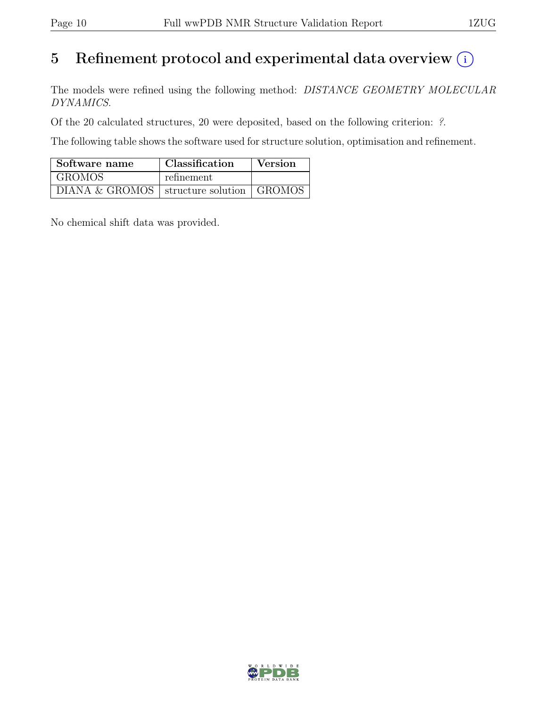# 5 Refinement protocol and experimental data overview  $(i)$

The models were refined using the following method: DISTANCE GEOMETRY MOLECULAR DYNAMICS.

Of the 20 calculated structures, 20 were deposited, based on the following criterion: ?.

The following table shows the software used for structure solution, optimisation and refinement.

| Software name                                | <b>Classification</b> | <b>Version</b> |
|----------------------------------------------|-----------------------|----------------|
| GROMOS                                       | refinement            |                |
| DIANA & GROMOS   structure solution   GROMOS |                       |                |

No chemical shift data was provided.

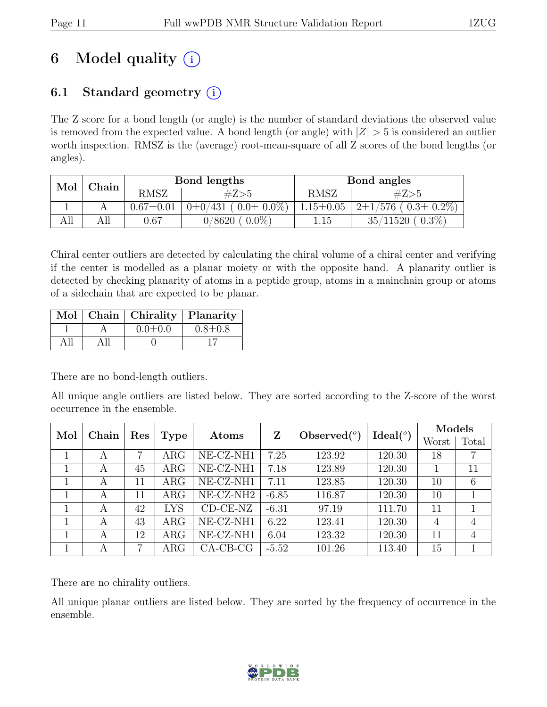# 6 Model quality  $(i)$

# 6.1 Standard geometry  $(i)$

The Z score for a bond length (or angle) is the number of standard deviations the observed value is removed from the expected value. A bond length (or angle) with  $|Z| > 5$  is considered an outlier worth inspection. RMSZ is the (average) root-mean-square of all Z scores of the bond lengths (or angles).

| Mol | Chain |                 | Bond lengths                    | Bond angles     |                                   |  |
|-----|-------|-----------------|---------------------------------|-----------------|-----------------------------------|--|
|     |       | <b>RMSZ</b>     | #Z>5                            | <b>RMSZ</b>     | #Z>5                              |  |
|     |       | $0.67 \pm 0.01$ | $0\pm 0/431$ ( $0.0\pm 0.0\%$ ) | $1.15 \pm 0.05$ | $12 \pm 1/576$ ( $0.3 \pm 0.2\%)$ |  |
| All |       | $0.67\,$        | $0.0\%$<br>0/8620               | 1.15            | $0.3\%$<br>35/11520               |  |

Chiral center outliers are detected by calculating the chiral volume of a chiral center and verifying if the center is modelled as a planar moiety or with the opposite hand. A planarity outlier is detected by checking planarity of atoms in a peptide group, atoms in a mainchain group or atoms of a sidechain that are expected to be planar.

|      | Mol   Chain   Chirality   Planarity |               |
|------|-------------------------------------|---------------|
|      | $0.0 \pm 0.0$                       | $0.8 \pm 0.8$ |
| A 11 |                                     |               |

There are no bond-length outliers.

All unique angle outliers are listed below. They are sorted according to the Z-score of the worst occurrence in the ensemble.

| Mol<br>Chain |   | Res |            |                              | Ζ       | Observed $(°)$ | Ideal $(°)$ | Models |                |
|--------------|---|-----|------------|------------------------------|---------|----------------|-------------|--------|----------------|
|              |   |     | Type       | Atoms                        |         |                |             | Worst  | Total          |
|              | A | 7   | $\rm{ARG}$ | NE-CZ-NH1                    | 7.25    | 123.92         | 120.30      | 18     | $\overline{7}$ |
|              | A | 45  | $\rm{ARG}$ | NE-CZ-NH1                    | 7.18    | 123.89         | 120.30      |        | 11             |
|              | A | 11  | $\rm{ARG}$ | NE-CZ-NH1                    | 7.11    | 123.85         | 120.30      | 10     | 6              |
|              | A | 11  | $\rm{ARG}$ | $NE- CZ-NH2$                 | $-6.85$ | 116.87         | 120.30      | 10     |                |
|              | A | 42  | <b>LYS</b> | $\overline{\text{CD-CE-NZ}}$ | $-6.31$ | 97.19          | 111.70      | 11     |                |
|              | A | 43  | $\rm{ARG}$ | NE-CZ-NH1                    | 6.22    | 123.41         | 120.30      | 4      | 4              |
|              | A | 12  | $\rm{ARG}$ | NE-CZ-NH1                    | 6.04    | 123.32         | 120.30      | 11     | 4              |
|              | A | 7   | $\rm{ARG}$ | $CA-CB-CG$                   | $-5.52$ | 101.26         | 113.40      | 15     |                |

There are no chirality outliers.

All unique planar outliers are listed below. They are sorted by the frequency of occurrence in the ensemble.

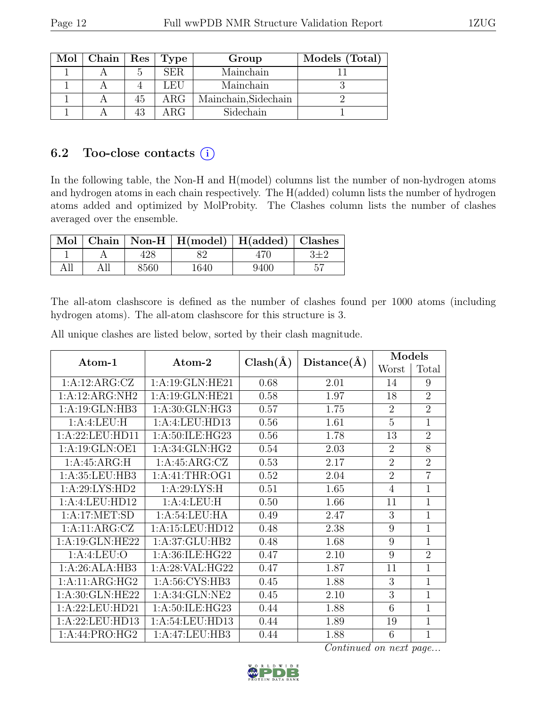| Mol | Chain   Res |    | Type       | Group                | Models (Total) |
|-----|-------------|----|------------|----------------------|----------------|
|     |             | h. | SER.       | Mainchain            |                |
|     |             |    | LEU        | Mainchain            |                |
|     |             | 45 | $\rm{ARG}$ | Mainchain, Sidechain |                |
|     |             | 43 | ARG        | Sidechain            |                |

## 6.2 Too-close contacts  $(i)$

In the following table, the Non-H and H(model) columns list the number of non-hydrogen atoms and hydrogen atoms in each chain respectively. The H(added) column lists the number of hydrogen atoms added and optimized by MolProbity. The Clashes column lists the number of clashes averaged over the ensemble.

|     |      | Mol   Chain   Non-H   H(model)   H(added)   Clashes |      |  |
|-----|------|-----------------------------------------------------|------|--|
|     |      |                                                     | 470  |  |
| All | 8560 | 1640                                                | 9400 |  |

The all-atom clashscore is defined as the number of clashes found per 1000 atoms (including hydrogen atoms). The all-atom clashscore for this structure is 3.

| Atom-1                               | $\bm{\mathrm{Atom}\text{-}2}$ | $Clash(\AA)$ | Distance(A) | Models         |                |
|--------------------------------------|-------------------------------|--------------|-------------|----------------|----------------|
|                                      |                               |              |             | Worst          | Total          |
| 1:A:12:ARG:CZ                        | 1:A:19:GLN:HE21               | 0.68         | 2.01        | 14             | 9              |
| 1:A:12:ARG:NH2                       | 1: A:19: GLN: HE21            | 0.58         | 1.97        | 18             | $\overline{2}$ |
| 1:A:19:GLN:HB3                       | 1:A:30:GLN:HG3                | 0.57         | 1.75        | $\overline{2}$ | $\overline{2}$ |
| 1:A:4:LEU:H                          | 1:A:4:LEU:HD13                | 0.56         | 1.61        | 5              | $\mathbf{1}$   |
| 1:A:22:LEU:HD11                      | 1:A:50:ILE:HG23               | 0.56         | 1.78        | 13             | $\overline{2}$ |
| 1:A:19:GLN:OE1                       | 1:A:34:GLN:HG2                | 0.54         | 2.03        | $\overline{2}$ | 8              |
| 1: A:45: ARG:H                       | 1:A:45:ARG:CZ                 | 0.53         | 2.17        | $\overline{2}$ | $\overline{2}$ |
| 1:A:35:LEU:HB3                       | 1:A:41:THR:OG1                | 0.52         | 2.04        | $\overline{2}$ | $\overline{7}$ |
| 1:A:29:LYS:HD2                       | 1: A:29: LYS:H                | 0.51         | 1.65        | $\overline{4}$ | $\mathbf{1}$   |
| 1:A:4:LEU:HD12                       | 1:A:4:LEU:H                   | 0.50         | 1.66        | 11             | $\overline{1}$ |
| 1:A:17:MET:SD                        | 1: A:54:LEU:HA                | 0.49         | 2.47        | 3              | $\mathbf 1$    |
| 1:A:11:ARG:CZ                        | 1:A:15:LEU:HD12               | 0.48         | 2.38        | 9              | $\mathbf 1$    |
| 1:A:19:GLN:HE22                      | 1:A:37:GLU:HB2                | 0.48         | 1.68        | 9              | $\mathbf{1}$   |
| 1:A:4:LEU:O                          | 1:A:36:ILE:HG22               | 0.47         | 2.10        | 9              | $\overline{2}$ |
| 1:A:26:ALA:HB3                       | 1:A:28:VAL:HG22               | 0.47         | 1.87        | 11             | 1              |
| $1:A:11:A\overline{\mathrm{RG:HG2}}$ | 1:A:56:CYS:HB3                | 0.45         | 1.88        | 3              | $\overline{1}$ |
| 1: A:30: GLN: HE22                   | 1: A:34: GLN:NE2              | 0.45         | 2.10        | 3              | $\overline{1}$ |
| 1:A:22:LEU:HD21                      | 1:A:50:ILE:HG23               | 0.44         | 1.88        | 6              | $\mathbf{1}$   |
| 1:A:22:LEU:HD13                      | 1:A:54:LEU:HD13               | 0.44         | 1.89        | 19             | $\mathbf{1}$   |
| 1:A:44:PRO:HG2                       | 1:A:47:LEU:HB3                | 0.44         | 1.88        | 6              | $\mathbf 1$    |

All unique clashes are listed below, sorted by their clash magnitude.

Continued on next page...

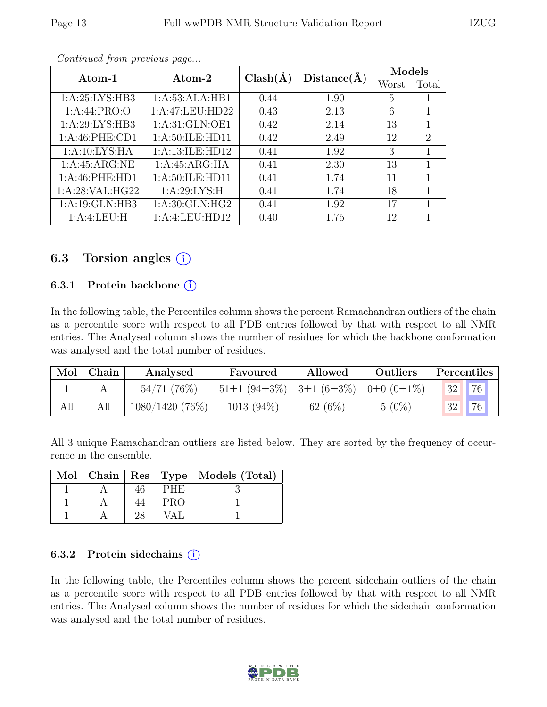| Atom-1            | Atom-2             | $Clash(\AA)$ | Distance(A) | Models |                             |
|-------------------|--------------------|--------------|-------------|--------|-----------------------------|
|                   |                    |              |             | Worst  | Total                       |
| 1: A:25: LYS:HB3  | 1:A:53:ALA:HB1     | 0.44         | 1.90        | 5      | T                           |
| 1: A:44: PRO:O    | 1:A:47:LEU:HD22    | 0.43         | 2.13        | 6      | 1                           |
| 1: A:29: LYS: HB3 | 1: A:31: GLN:OE1   | 0.42         | 2.14        | 13     |                             |
| 1:A:46:PHE:CD1    | 1: A:50: ILE: HD11 | 0.42         | 2.49        | 12     | $\mathcal{D}_{\mathcal{L}}$ |
| 1: A:10: LYS: HA  | 1:A:13:ILE:HD12    | 0.41         | 1.92        | 3      |                             |
| 1:A:45:ARG:NE     | 1:A:45:ARG:HA      | 0.41         | 2.30        | 13     |                             |
| 1:A:46:PHE:HD1    | 1:A:50:ILE:HD11    | 0.41         | 1.74        | 11     |                             |
| 1: A:28: VAL:HG22 | 1: A:29: LYS:H     | 0.41         | 1.74        | 18     |                             |
| 1:A:19:GLN:HB3    | 1: A:30: GLN: HG2  | 0.41         | 1.92        | 17     |                             |
| 1:A:4:LEU:H       | 1:A:4:LEU:HD12     | 0.40         | 1.75        | 12     |                             |

Continued from previous page...

## 6.3 Torsion angles  $(i)$

### 6.3.1 Protein backbone  $(i)$

In the following table, the Percentiles column shows the percent Ramachandran outliers of the chain as a percentile score with respect to all PDB entries followed by that with respect to all NMR entries. The Analysed column shows the number of residues for which the backbone conformation was analysed and the total number of residues.

| Mol | Chain | Analysed       | Favoured                                                                  | Allowed   | Outliers | Percentiles |    |
|-----|-------|----------------|---------------------------------------------------------------------------|-----------|----------|-------------|----|
|     |       | 54/71(76%)     | $51\pm1$ (94 $\pm3\%$ )   3 $\pm1$ (6 $\pm3\%$ )   0 $\pm0$ (0 $\pm1\%$ ) |           |          | 32          | 76 |
| All |       | 1080/1420(76%) | $1013(94\%)$                                                              | 62 $(6%)$ | $5(0\%)$ | 32          | 76 |

All 3 unique Ramachandran outliers are listed below. They are sorted by the frequency of occurrence in the ensemble.

|  |            | Mol   Chain   Res   Type   Models (Total) |
|--|------------|-------------------------------------------|
|  | <b>PHE</b> |                                           |
|  | <b>PRO</b> |                                           |
|  | VAL        |                                           |

#### 6.3.2 Protein sidechains  $(i)$

In the following table, the Percentiles column shows the percent sidechain outliers of the chain as a percentile score with respect to all PDB entries followed by that with respect to all NMR entries. The Analysed column shows the number of residues for which the sidechain conformation was analysed and the total number of residues.

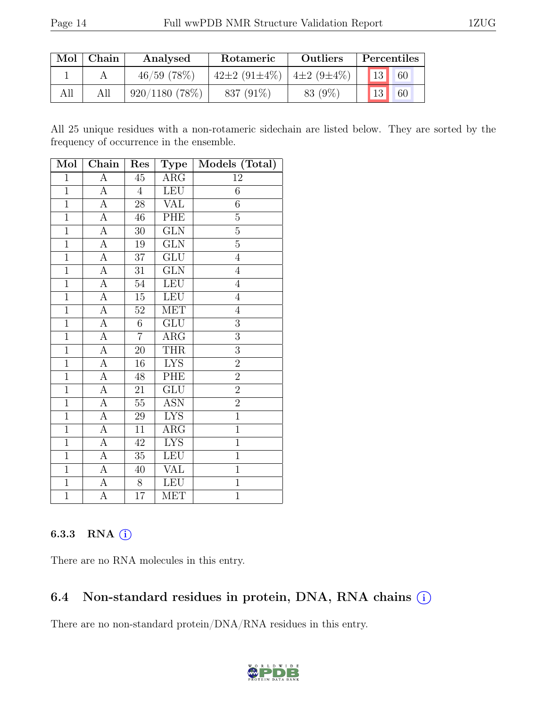| Mol | Chain | Analysed         | Rotameric                                     | <b>Outliers</b> |                 | Percentiles |
|-----|-------|------------------|-----------------------------------------------|-----------------|-----------------|-------------|
|     |       | $46/59$ (78\%)   | $42\pm2$ (91 $\pm4\%$ ) $4\pm2$ (9 $\pm4\%$ ) |                 | 13 <sub>h</sub> | 60          |
| All | All   | $920/1180(78\%)$ | 837 (91\%)                                    | 83 (9%)         | 13              | 60          |

All 25 unique residues with a non-rotameric sidechain are listed below. They are sorted by the frequency of occurrence in the ensemble.

| Mol            | Chain                   | Res             | Type                    | Models (Total) |
|----------------|-------------------------|-----------------|-------------------------|----------------|
| $\mathbf{1}$   | $\overline{A}$          | $\overline{45}$ | $\rm{ARG}$              | 12             |
| $\overline{1}$ | $\overline{A}$          | $\overline{4}$  | <b>LEU</b>              | $\overline{6}$ |
| $\mathbf{1}$   | A                       | 28              | <b>VAL</b>              | $\sqrt{6}$     |
| $\overline{1}$ | $\overline{A}$          | 46              | <b>PHE</b>              | $\overline{5}$ |
| $\mathbf 1$    | А                       | $30\,$          | GLN                     | $\overline{5}$ |
| $\overline{1}$ | $\overline{A}$          | 19              | $\overline{\text{GLN}}$ | $\overline{5}$ |
| $\mathbf{1}$   | A                       | 37              | GLU                     | $\overline{4}$ |
| $\overline{1}$ | $\overline{A}$          | 31              | $\overline{\text{GLN}}$ | $\sqrt{4}$     |
| $\overline{1}$ | $\overline{A}$          | 54              | <b>LEU</b>              | $\overline{4}$ |
| $\mathbf{1}$   | $\overline{A}$          | $15\,$          | LEU                     | $\overline{4}$ |
| $\overline{1}$ | $\overline{A}$          | $\overline{52}$ | <b>MET</b>              | $\overline{4}$ |
| $\overline{1}$ | A                       | $6\,$           | ${\rm GLU}$             | $\overline{3}$ |
| $\overline{1}$ | $\overline{\rm A}$      | $\overline{7}$  | $\overline{\text{ARG}}$ | $\overline{3}$ |
| $\overline{1}$ | $\overline{\mathbf{A}}$ | $20\,$          | <b>THR</b>              | $\overline{3}$ |
| $\overline{1}$ | $\overline{A}$          | 16              | <b>LYS</b>              | $\overline{2}$ |
| $\overline{1}$ | $\overline{A}$          | 48              | PHE                     | $\overline{2}$ |
| $\overline{1}$ | $\overline{A}$          | 21              | $\overline{\text{GLU}}$ | $\overline{2}$ |
| $\overline{1}$ | $\overline{A}$          | $\overline{55}$ | <b>ASN</b>              | $\overline{2}$ |
| $\overline{1}$ | A                       | 29              | <b>LYS</b>              | $\overline{1}$ |
| $\overline{1}$ | А                       | 11              | $\rm{ARG}$              | $\overline{1}$ |
| $\overline{1}$ | $\overline{A}$          | $42\,$          | <b>LYS</b>              | $\overline{1}$ |
| $\mathbf 1$    | A                       | 35              | <b>LEU</b>              | $\mathbf 1$    |
| $\overline{1}$ | $\overline{A}$          | 40              | <b>VAL</b>              | $\overline{1}$ |
| $\mathbf{1}$   | $\overline{\rm A}$      | 8               | <b>LEU</b>              | $\mathbf{1}$   |
| $\mathbf{1}$   | A                       | 17              | <b>MET</b>              | $\mathbf{1}$   |

### 6.3.3 RNA  $(i)$

There are no RNA molecules in this entry.

# 6.4 Non-standard residues in protein, DNA, RNA chains  $(i)$

There are no non-standard protein/DNA/RNA residues in this entry.

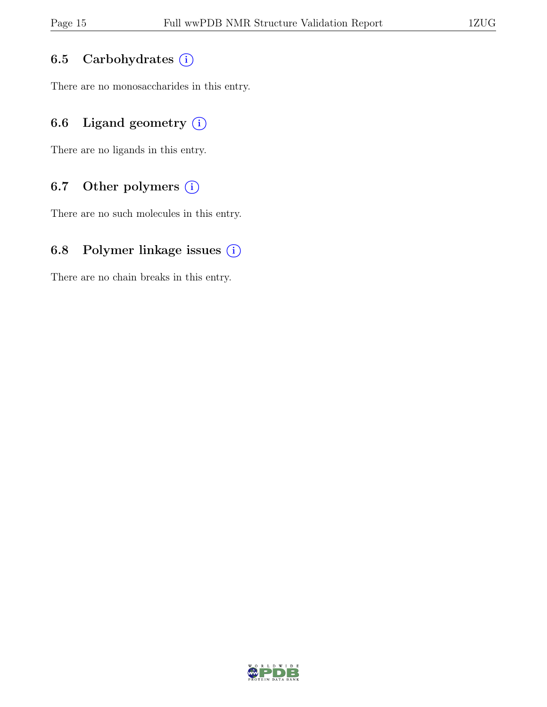## 6.5 Carbohydrates (i)

There are no monosaccharides in this entry.

# 6.6 Ligand geometry  $(i)$

There are no ligands in this entry.

## 6.7 Other polymers (i)

There are no such molecules in this entry.

## 6.8 Polymer linkage issues  $(i)$

There are no chain breaks in this entry.